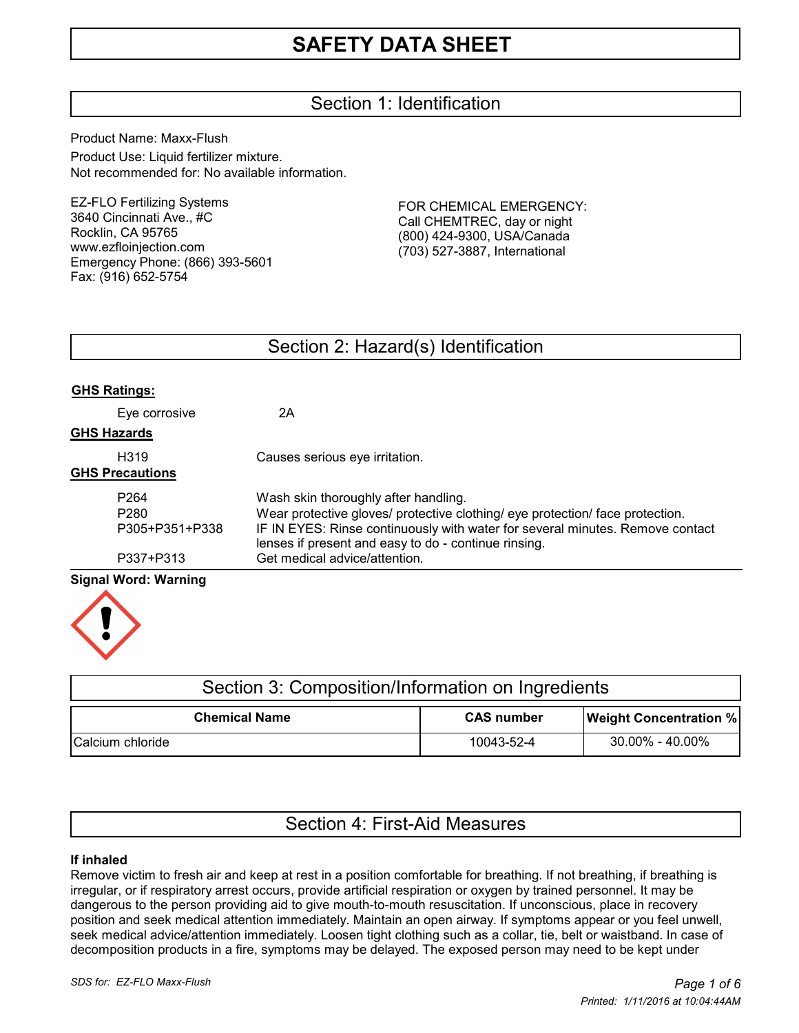# Section 1: Identification

Product Name: Maxx-Flush Product Use: Liquid fertilizer mixture. Not recommended for: No available information.

EZ-FLO Fertilizing Systems 3640 Cincinnati Ave., #C Rocklin, CA 95765 www.ezfloinjection.com Emergency Phone: (866) 393-5601 Fax: (916) 652-5754

FOR CHEMICAL EMERGENCY: Call CHEMTREC, day or night (800) 424-9300, USA/Canada (703) 527-3887, International

## Section 2: Hazard(s) Identification

| <b>GHS Ratings:</b>    |                                                                                                                                       |
|------------------------|---------------------------------------------------------------------------------------------------------------------------------------|
| Eye corrosive          | 2Α                                                                                                                                    |
| <b>GHS Hazards</b>     |                                                                                                                                       |
| H <sub>319</sub>       | Causes serious eye irritation.                                                                                                        |
| <b>GHS Precautions</b> |                                                                                                                                       |
| P <sub>264</sub>       | Wash skin thoroughly after handling.                                                                                                  |
| P <sub>280</sub>       | Wear protective gloves/ protective clothing/ eye protection/ face protection.                                                         |
| P305+P351+P338         | IF IN EYES: Rinse continuously with water for several minutes. Remove contact<br>lenses if present and easy to do - continue rinsing. |
| P337+P313              | Get medical advice/attention.                                                                                                         |
| Signal Word: Warning   |                                                                                                                                       |

#### **Signal Word: Warning**



| Section 3: Composition/Information on Ingredients |                   |                               |  |  |
|---------------------------------------------------|-------------------|-------------------------------|--|--|
| <b>Chemical Name</b>                              | <b>CAS</b> number | <b>Weight Concentration %</b> |  |  |
| Calcium chloride                                  | 10043-52-4        | 30.00% - 40.00%               |  |  |

# Section 4: First-Aid Measures

### **If inhaled**

Remove victim to fresh air and keep at rest in a position comfortable for breathing. If not breathing, if breathing is irregular, or if respiratory arrest occurs, provide artificial respiration or oxygen by trained personnel. It may be dangerous to the person providing aid to give mouth-to-mouth resuscitation. If unconscious, place in recovery position and seek medical attention immediately. Maintain an open airway. If symptoms appear or you feel unwell, seek medical advice/attention immediately. Loosen tight clothing such as a collar, tie, belt or waistband. In case of decomposition products in a fire, symptoms may be delayed. The exposed person may need to be kept under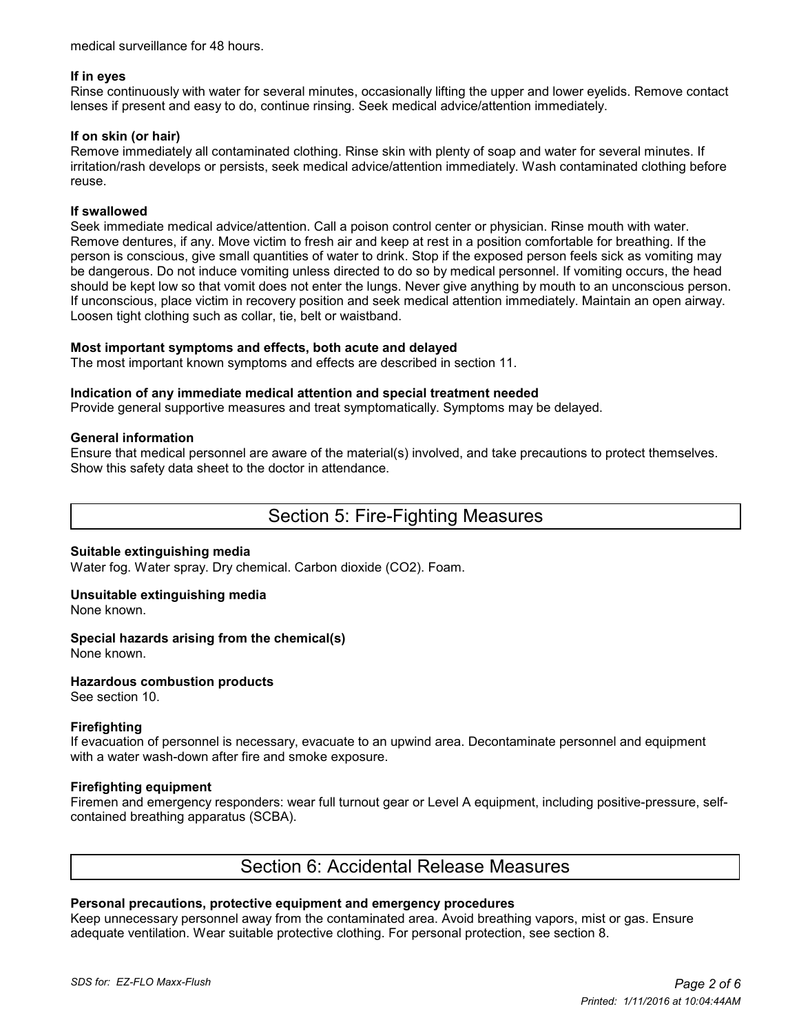medical surveillance for 48 hours.

#### **If in eyes**

Rinse continuously with water for several minutes, occasionally lifting the upper and lower eyelids. Remove contact lenses if present and easy to do, continue rinsing. Seek medical advice/attention immediately.

#### **If on skin (or hair)**

Remove immediately all contaminated clothing. Rinse skin with plenty of soap and water for several minutes. If irritation/rash develops or persists, seek medical advice/attention immediately. Wash contaminated clothing before reuse.

#### **If swallowed**

Seek immediate medical advice/attention. Call a poison control center or physician. Rinse mouth with water. Remove dentures, if any. Move victim to fresh air and keep at rest in a position comfortable for breathing. If the person is conscious, give small quantities of water to drink. Stop if the exposed person feels sick as vomiting may be dangerous. Do not induce vomiting unless directed to do so by medical personnel. If vomiting occurs, the head should be kept low so that vomit does not enter the lungs. Never give anything by mouth to an unconscious person. If unconscious, place victim in recovery position and seek medical attention immediately. Maintain an open airway. Loosen tight clothing such as collar, tie, belt or waistband.

#### **Most important symptoms and effects, both acute and delayed**

The most important known symptoms and effects are described in section 11.

#### **Indication of any immediate medical attention and special treatment needed**

Provide general supportive measures and treat symptomatically. Symptoms may be delayed.

#### **General information**

Ensure that medical personnel are aware of the material(s) involved, and take precautions to protect themselves. Show this safety data sheet to the doctor in attendance.

## Section 5: Fire-Fighting Measures

#### **Suitable extinguishing media**

Water fog. Water spray. Dry chemical. Carbon dioxide (CO2). Foam.

#### **Unsuitable extinguishing media**

None known.

#### **Special hazards arising from the chemical(s)**

None known.

#### **Hazardous combustion products**

See section 10.

#### **Firefighting**

If evacuation of personnel is necessary, evacuate to an upwind area. Decontaminate personnel and equipment with a water wash-down after fire and smoke exposure.

#### **Firefighting equipment**

Firemen and emergency responders: wear full turnout gear or Level A equipment, including positive-pressure, selfcontained breathing apparatus (SCBA).

## Section 6: Accidental Release Measures

#### **Personal precautions, protective equipment and emergency procedures**

Keep unnecessary personnel away from the contaminated area. Avoid breathing vapors, mist or gas. Ensure adequate ventilation. Wear suitable protective clothing. For personal protection, see section 8.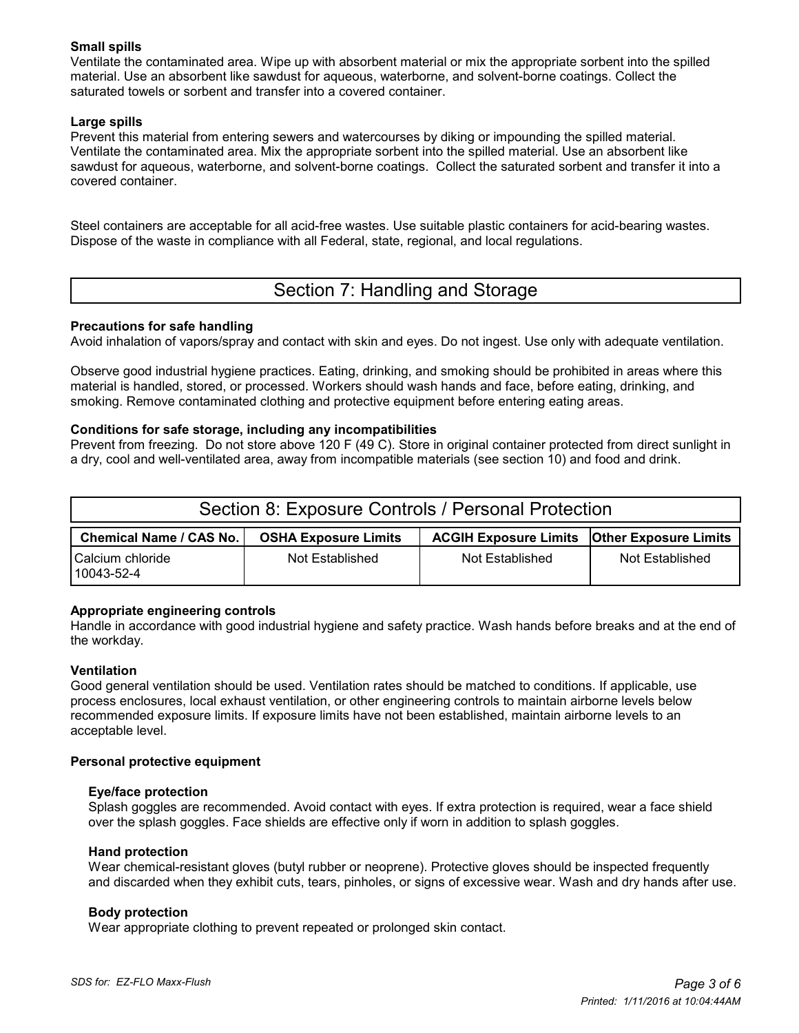### **Small spills**

Ventilate the contaminated area. Wipe up with absorbent material or mix the appropriate sorbent into the spilled material. Use an absorbent like sawdust for aqueous, waterborne, and solvent-borne coatings. Collect the saturated towels or sorbent and transfer into a covered container.

### **Large spills**

Prevent this material from entering sewers and watercourses by diking or impounding the spilled material. Ventilate the contaminated area. Mix the appropriate sorbent into the spilled material. Use an absorbent like sawdust for aqueous, waterborne, and solvent-borne coatings. Collect the saturated sorbent and transfer it into a covered container.

Steel containers are acceptable for all acid-free wastes. Use suitable plastic containers for acid-bearing wastes. Dispose of the waste in compliance with all Federal, state, regional, and local regulations.

# Section 7: Handling and Storage

### **Precautions for safe handling**

Avoid inhalation of vapors/spray and contact with skin and eyes. Do not ingest. Use only with adequate ventilation.

Observe good industrial hygiene practices. Eating, drinking, and smoking should be prohibited in areas where this material is handled, stored, or processed. Workers should wash hands and face, before eating, drinking, and smoking. Remove contaminated clothing and protective equipment before entering eating areas.

#### **Conditions for safe storage, including any incompatibilities**

Prevent from freezing. Do not store above 120 F (49 C). Store in original container protected from direct sunlight in a dry, cool and well-ventilated area, away from incompatible materials (see section 10) and food and drink.

| Section 8: Exposure Controls / Personal Protection |                             |                                                      |                 |  |  |
|----------------------------------------------------|-----------------------------|------------------------------------------------------|-----------------|--|--|
| <b>Chemical Name / CAS No.</b>                     | <b>OSHA Exposure Limits</b> | <b>ACGIH Exposure Limits   Other Exposure Limits</b> |                 |  |  |
| Calcium chloride<br>10043-52-4                     | Not Established             | Not Established                                      | Not Established |  |  |

#### **Appropriate engineering controls**

Handle in accordance with good industrial hygiene and safety practice. Wash hands before breaks and at the end of the workday.

#### **Ventilation**

Good general ventilation should be used. Ventilation rates should be matched to conditions. If applicable, use process enclosures, local exhaust ventilation, or other engineering controls to maintain airborne levels below recommended exposure limits. If exposure limits have not been established, maintain airborne levels to an acceptable level.

#### **Personal protective equipment**

#### **Eye/face protection**

 Splash goggles are recommended. Avoid contact with eyes. If extra protection is required, wear a face shield over the splash goggles. Face shields are effective only if worn in addition to splash goggles.

#### **Hand protection**

 Wear chemical-resistant gloves (butyl rubber or neoprene). Protective gloves should be inspected frequently and discarded when they exhibit cuts, tears, pinholes, or signs of excessive wear. Wash and dry hands after use.

#### **Body protection**

Wear appropriate clothing to prevent repeated or prolonged skin contact.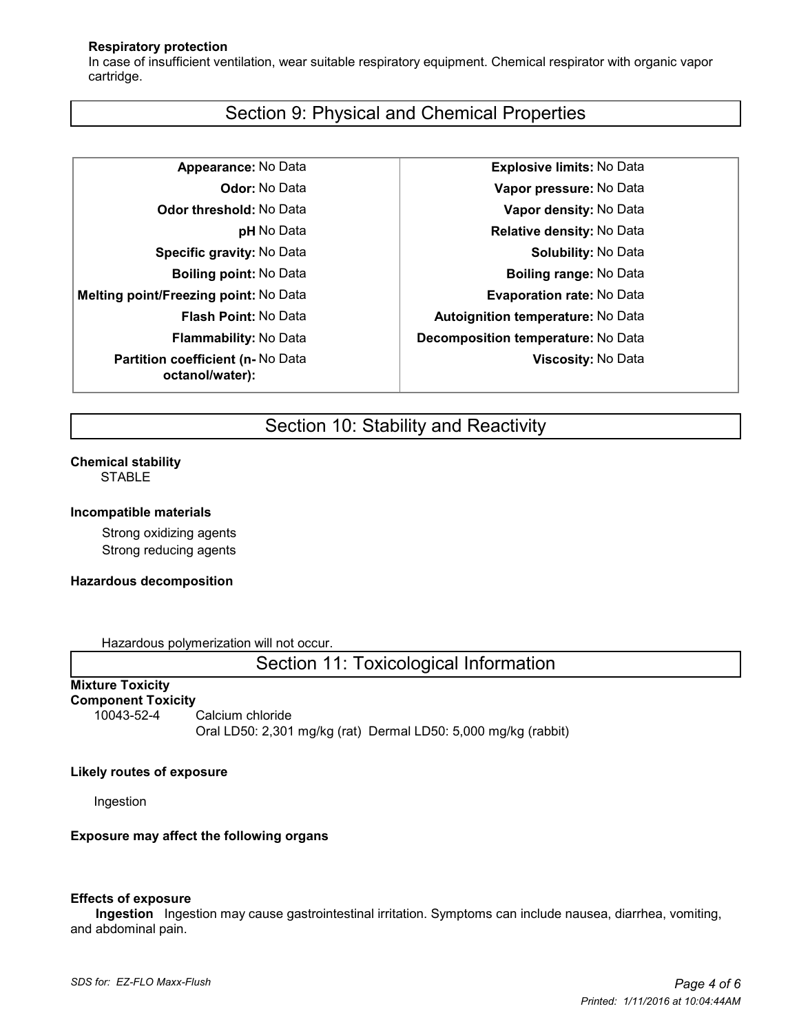#### **Respiratory protection**

 In case of insufficient ventilation, wear suitable respiratory equipment. Chemical respirator with organic vapor cartridge.

## Section 9: Physical and Chemical Properties

**Melting point/Freezing point:** No Data **Evaporation rate:** No Data **Partition coefficient (n-** No Data **octanol/water):**

**Appearance:** No Data **Explosive limits:** No Data **Odor:** No Data **Vapor pressure:** No Data **Odor threshold:** No Data **Vapor density:** No Data **pH** No Data **Relative density:** No Data **Specific gravity:** No Data **Solubility:** No Data **Boiling point:** No Data **Boiling range:** No Data **Flash Point:** No Data **Autoignition temperature:** No Data **Flammability:** No Data **Decomposition temperature:** No Data **Viscosity:** No Data

# Section 10: Stability and Reactivity

#### **Chemical stability STABLE**

#### **Incompatible materials**

Strong oxidizing agents Strong reducing agents

#### **Hazardous decomposition**

Hazardous polymerization will not occur.

Section 11: Toxicological Information

#### **Mixture Toxicity Component Toxicity**

10043-52-4 Calcium chloride

Oral LD50: 2,301 mg/kg (rat) Dermal LD50: 5,000 mg/kg (rabbit)

#### **Likely routes of exposure**

Ingestion

#### **Exposure may affect the following organs**

#### **Effects of exposure**

 **Ingestion** Ingestion may cause gastrointestinal irritation. Symptoms can include nausea, diarrhea, vomiting, and abdominal pain.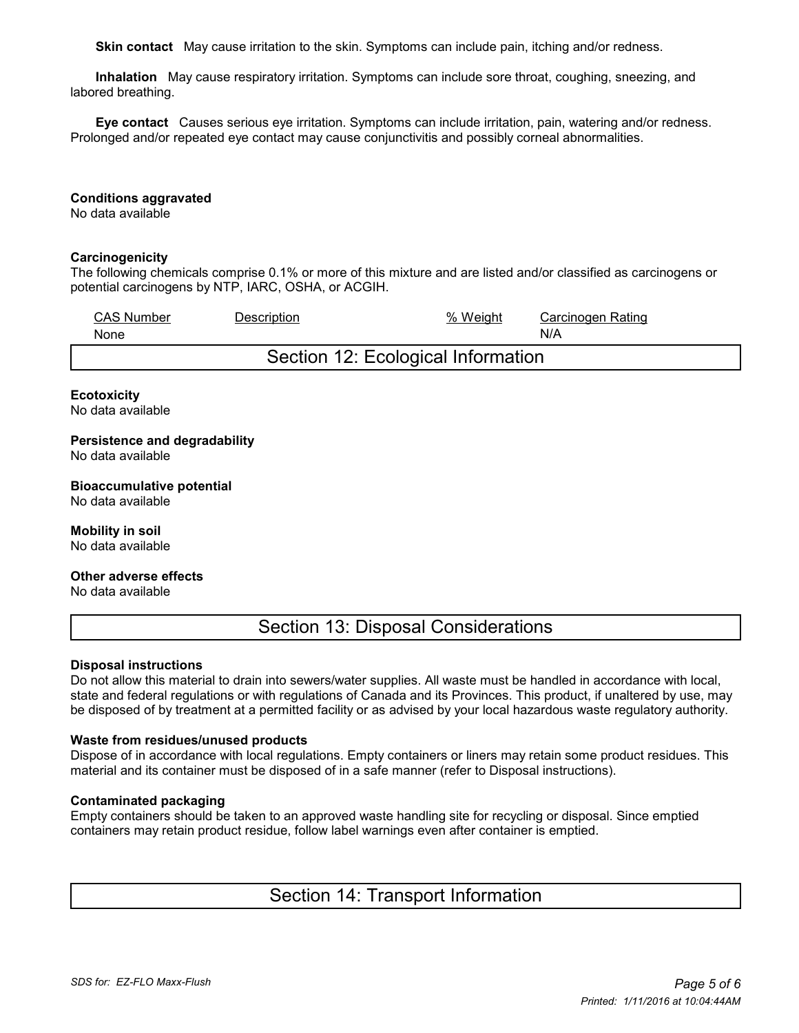**Skin contact** May cause irritation to the skin. Symptoms can include pain, itching and/or redness.

 **Inhalation** May cause respiratory irritation. Symptoms can include sore throat, coughing, sneezing, and labored breathing.

 **Eye contact** Causes serious eye irritation. Symptoms can include irritation, pain, watering and/or redness. Prolonged and/or repeated eye contact may cause conjunctivitis and possibly corneal abnormalities.

#### **Conditions aggravated**

No data available

#### **Carcinogenicity**

The following chemicals comprise 0.1% or more of this mixture and are listed and/or classified as carcinogens or potential carcinogens by NTP, IARC, OSHA, or ACGIH.

| <b>CAS Number</b>                  | <b>Description</b> | % Weight | Carcinogen Rating |  |  |  |
|------------------------------------|--------------------|----------|-------------------|--|--|--|
| None                               |                    |          | N/A               |  |  |  |
| Section 12: Ecological Information |                    |          |                   |  |  |  |

### **Ecotoxicity**

No data available

**Persistence and degradability** No data available

**Bioaccumulative potential** No data available

**Mobility in soil** No data available

**Other adverse effects**

No data available

Section 13: Disposal Considerations

#### **Disposal instructions**

Do not allow this material to drain into sewers/water supplies. All waste must be handled in accordance with local, state and federal regulations or with regulations of Canada and its Provinces. This product, if unaltered by use, may be disposed of by treatment at a permitted facility or as advised by your local hazardous waste regulatory authority.

#### **Waste from residues/unused products**

Dispose of in accordance with local regulations. Empty containers or liners may retain some product residues. This material and its container must be disposed of in a safe manner (refer to Disposal instructions).

#### **Contaminated packaging**

Empty containers should be taken to an approved waste handling site for recycling or disposal. Since emptied containers may retain product residue, follow label warnings even after container is emptied.

Section 14: Transport Information